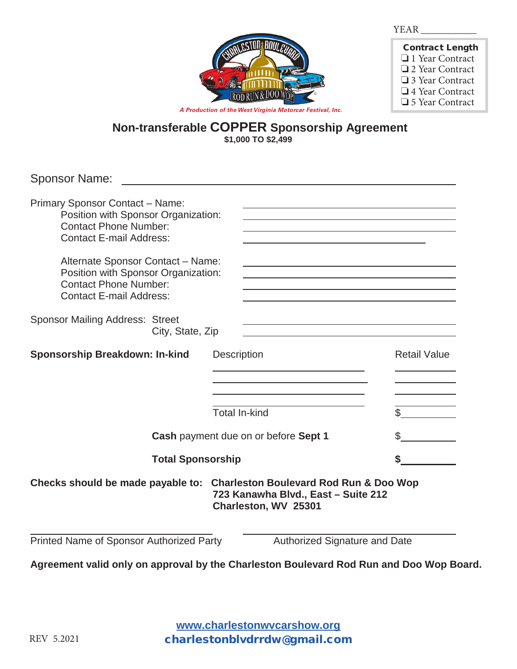

| <b>Contract Length</b> |
|------------------------|
| □ 1 Year Contract      |
| □ 2 Year Contract      |
| □ 3 Year Contract      |
| $\Box$ 4 Year Contract |
| □ 5 Year Contract      |

**Non-transferable COPPER Sponsorship Agreement**

**\$1,000 TO \$2,499**

| <b>Sponsor Name:</b>                                                                                                                            |                  |                      |  |                      |                                                                                                                  |                     |
|-------------------------------------------------------------------------------------------------------------------------------------------------|------------------|----------------------|--|----------------------|------------------------------------------------------------------------------------------------------------------|---------------------|
| <b>Primary Sponsor Contact - Name:</b><br>Position with Sponsor Organization:<br><b>Contact Phone Number:</b><br><b>Contact E-mail Address:</b> |                  |                      |  |                      | and the control of the control of the control of the control of the control of the control of the control of the |                     |
| Alternate Sponsor Contact - Name:<br>Position with Sponsor Organization:<br><b>Contact Phone Number:</b><br><b>Contact E-mail Address:</b>      |                  |                      |  |                      |                                                                                                                  |                     |
| <b>Sponsor Mailing Address: Street</b>                                                                                                          | City, State, Zip |                      |  |                      |                                                                                                                  |                     |
| <b>Sponsorship Breakdown: In-kind</b>                                                                                                           |                  | <b>Description</b>   |  |                      |                                                                                                                  | <b>Retail Value</b> |
|                                                                                                                                                 |                  | <b>Total In-kind</b> |  |                      |                                                                                                                  |                     |
| Cash payment due on or before Sept 1                                                                                                            |                  |                      |  | \$                   |                                                                                                                  |                     |
| <b>Total Sponsorship</b>                                                                                                                        |                  |                      |  |                      |                                                                                                                  |                     |
| Checks should be made payable to:                                                                                                               |                  |                      |  | Charleston, WV 25301 | <b>Charleston Boulevard Rod Run &amp; Doo Wop</b><br>723 Kanawha Blvd., East - Suite 212                         |                     |
| Printed Name of Sponsor Authorized Party                                                                                                        |                  |                      |  |                      | <b>Authorized Signature and Date</b>                                                                             |                     |

**Agreement valid only on approval by the Charleston Boulevard Rod Run and Doo Wop Board.** 

**www.charlestonwvcarshow.org** charlestonblvdrrdw@gmail.com